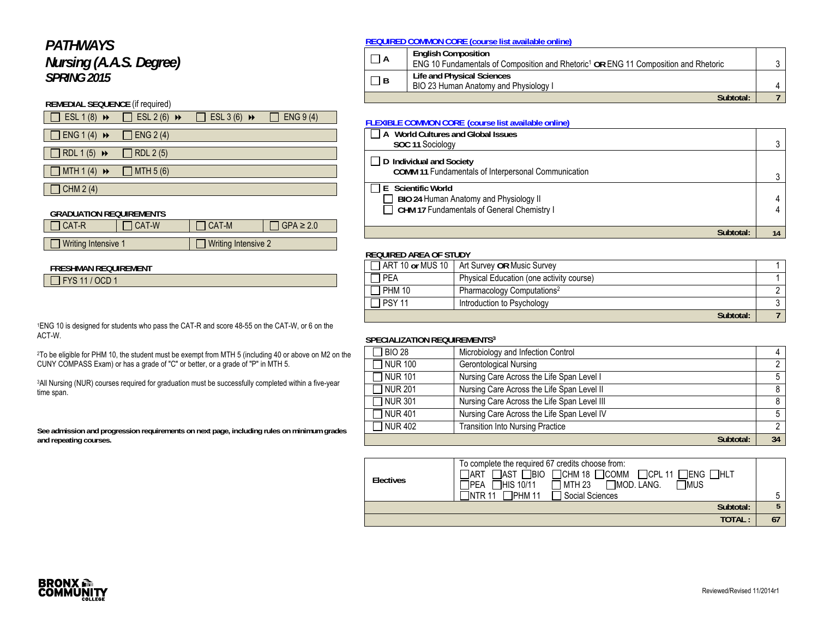# *PATHWAYS Nursing (A.A.S. Degree) SPRING 2015*

#### **REMEDIAL SEQUENCE** (if required)

| $\Box$ ESL 1 (8) $\rightarrow$ $\Box$ ESL 2 (6) $\rightarrow$ |                 | $\Box$ ESL 3 (6) $\rightarrow$ $\Box$ ENG 9 (4) |  |
|---------------------------------------------------------------|-----------------|-------------------------------------------------|--|
| $\Box$ ENG 1 (4) $\rightarrow$                                | $\Box$ ENG 2(4) |                                                 |  |
| $\Box$ RDL 1(5) $\rightarrow$                                 | $\Box$ RDL 2(5) |                                                 |  |
| $\Box$ MTH 1 (4) $\rightarrow$ $\Box$ MTH 5 (6)               |                 |                                                 |  |
| $\Box$ CHM 2 (4)                                              |                 |                                                 |  |

#### **GRADUATION REQUIREMENTS**

| <b>I CAT-R</b>      | <b>CAT-W</b> | $ICAT-M$                   | $\overline{1}$ GPA $\geq 2.0$ |
|---------------------|--------------|----------------------------|-------------------------------|
|                     |              |                            |                               |
| Writing Intensive 1 |              | $\Box$ Writing Intensive 2 |                               |

#### **FRESHMAN REQUIREMENT**

FYS 11 / OCD 1

1ENG 10 is designed for students who pass the CAT-R and score 48-55 on the CAT-W, or 6 on the ACT-W.

2To be eligible for PHM 10, the student must be exempt from MTH 5 (including 40 or above on M2 on the CUNY COMPASS Exam) or has a grade of "C" or better, or a grade of "P" in MTH 5.

<sup>3</sup>All Nursing (NUR) courses required for graduation must be successfully completed within a five-year time span.

**See admission and progression requirements on next page, including rules on minimum grades and repeating courses.** 

#### **REQUIRED COMMON CORE (course list available online)**

| $\Box$ A | <b>English Composition</b><br>ENG 10 Fundamentals of Composition and Rhetoric <sup>1</sup> OR ENG 11 Composition and Rhetoric |  |
|----------|-------------------------------------------------------------------------------------------------------------------------------|--|
| $\Box$ B | Life and Physical Sciences<br>BIO 23 Human Anatomy and Physiology I                                                           |  |
|          | Subtotal:                                                                                                                     |  |

#### **FLEXIBLE COMMON CORE (course list available online)**

| World Cultures and Global Issues<br>' A<br>SOC 11 Sociology                                                |    |
|------------------------------------------------------------------------------------------------------------|----|
| D Individual and Society<br>COMM 11 Fundamentals of Interpersonal Communication                            |    |
| E Scientific World<br>BIO 24 Human Anatomy and Physiology II<br>CHM 17 Fundamentals of General Chemistry I |    |
| Subtotal:                                                                                                  | 14 |

## **REQUIRED AREA OF STUDY**

|  |               | ART 10 or MUS 10   Art Survey OR Music Survey |  |
|--|---------------|-----------------------------------------------|--|
|  | <b>PEA</b>    | Physical Education (one activity course)      |  |
|  | <b>PHM 10</b> | Pharmacology Computations <sup>2</sup>        |  |
|  | <b>PSY 11</b> | Introduction to Psychology                    |  |
|  |               | Subtotal:                                     |  |

#### **SPECIALIZATION REQUIREMENTS3**

| <b>BIO 28</b>  | Microbiology and Infection Control          |    |
|----------------|---------------------------------------------|----|
| TNUR 100       | Gerontological Nursing                      |    |
| $\neg$ NUR 101 | Nursing Care Across the Life Span Level I   |    |
| $\neg$ NUR 201 | Nursing Care Across the Life Span Level II  |    |
| $\neg$ NUR 301 | Nursing Care Across the Life Span Level III | 8  |
| T NUR 401      | Nursing Care Across the Life Span Level IV  |    |
| $\neg$ NUR 402 | <b>Transition Into Nursing Practice</b>     |    |
|                | Subtotal:                                   | 34 |

| Electives | To complete the required 67 credits choose from:<br>$\Box$ AST $\Box$ BIO $\Box$ CHM 18 $\Box$ COMM $\Box$ CPL 11 $\Box$ ENG $\Box$ HLT<br>IART<br>$\Box$ MTH 23 $\Box$ MOD. LANG.<br><b>TMUS</b><br>1PEA □HIS 10/11 |  |
|-----------|----------------------------------------------------------------------------------------------------------------------------------------------------------------------------------------------------------------------|--|
|           | $\Box$ PHM 11<br><b>T</b> Social Sciences<br>TNTR 11                                                                                                                                                                 |  |
|           | Subtotal:                                                                                                                                                                                                            |  |
|           | TOTAL:                                                                                                                                                                                                               |  |